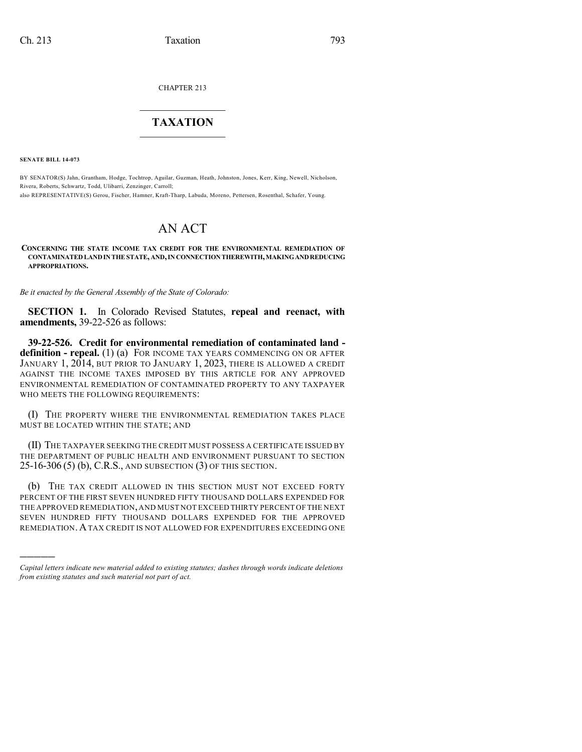CHAPTER 213

## $\overline{\phantom{a}}$  . The set of the set of the set of the set of the set of the set of the set of the set of the set of the set of the set of the set of the set of the set of the set of the set of the set of the set of the set o **TAXATION**  $\_$

**SENATE BILL 14-073**

)))))

BY SENATOR(S) Jahn, Grantham, Hodge, Tochtrop, Aguilar, Guzman, Heath, Johnston, Jones, Kerr, King, Newell, Nicholson, Rivera, Roberts, Schwartz, Todd, Ulibarri, Zenzinger, Carroll;

also REPRESENTATIVE(S) Gerou, Fischer, Hamner, Kraft-Tharp, Labuda, Moreno, Pettersen, Rosenthal, Schafer, Young.

# AN ACT

**CONCERNING THE STATE INCOME TAX CREDIT FOR THE ENVIRONMENTAL REMEDIATION OF CONTAMINATEDLANDINTHESTATE, AND,INCONNECTIONTHEREWITH,MAKINGANDREDUCING APPROPRIATIONS.**

*Be it enacted by the General Assembly of the State of Colorado:*

**SECTION 1.** In Colorado Revised Statutes, **repeal and reenact, with amendments,** 39-22-526 as follows:

**39-22-526. Credit for environmental remediation of contaminated land definition - repeal.** (1) (a) FOR INCOME TAX YEARS COMMENCING ON OR AFTER JANUARY 1, 2014, BUT PRIOR TO JANUARY 1, 2023, THERE IS ALLOWED A CREDIT AGAINST THE INCOME TAXES IMPOSED BY THIS ARTICLE FOR ANY APPROVED ENVIRONMENTAL REMEDIATION OF CONTAMINATED PROPERTY TO ANY TAXPAYER WHO MEETS THE FOLLOWING REQUIREMENTS:

(I) THE PROPERTY WHERE THE ENVIRONMENTAL REMEDIATION TAKES PLACE MUST BE LOCATED WITHIN THE STATE; AND

(II) THE TAXPAYER SEEKING THE CREDIT MUST POSSESS A CERTIFICATE ISSUED BY THE DEPARTMENT OF PUBLIC HEALTH AND ENVIRONMENT PURSUANT TO SECTION 25-16-306 (5) (b), C.R.S., AND SUBSECTION (3) OF THIS SECTION.

(b) THE TAX CREDIT ALLOWED IN THIS SECTION MUST NOT EXCEED FORTY PERCENT OF THE FIRST SEVEN HUNDRED FIFTY THOUSAND DOLLARS EXPENDED FOR THE APPROVED REMEDIATION,AND MUST NOT EXCEED THIRTY PERCENT OF THE NEXT SEVEN HUNDRED FIFTY THOUSAND DOLLARS EXPENDED FOR THE APPROVED REMEDIATION.ATAX CREDIT IS NOT ALLOWED FOR EXPENDITURES EXCEEDING ONE

*Capital letters indicate new material added to existing statutes; dashes through words indicate deletions from existing statutes and such material not part of act.*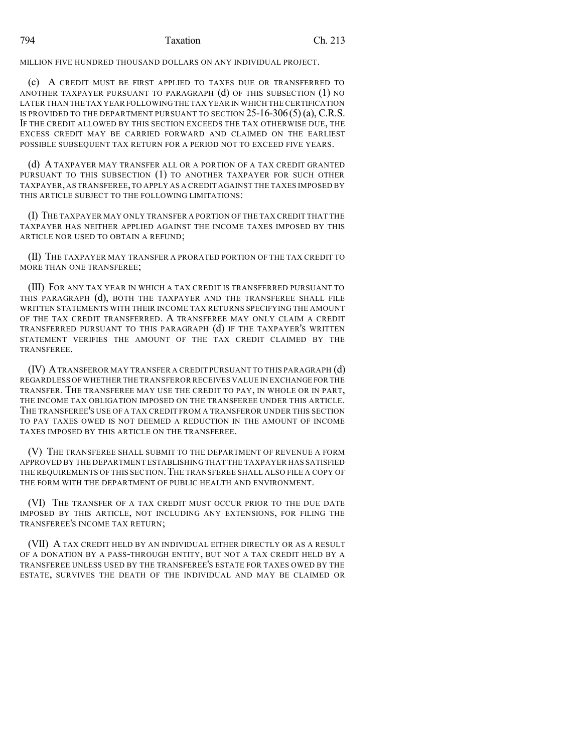MILLION FIVE HUNDRED THOUSAND DOLLARS ON ANY INDIVIDUAL PROJECT.

(c) A CREDIT MUST BE FIRST APPLIED TO TAXES DUE OR TRANSFERRED TO ANOTHER TAXPAYER PURSUANT TO PARAGRAPH (d) OF THIS SUBSECTION (1) NO LATER THAN THE TAX YEAR FOLLOWING THE TAX YEAR IN WHICH THE CERTIFICATION IS PROVIDED TO THE DEPARTMENT PURSUANT TO SECTION  $25$ -16-306(5)(a), C.R.S. IF THE CREDIT ALLOWED BY THIS SECTION EXCEEDS THE TAX OTHERWISE DUE, THE EXCESS CREDIT MAY BE CARRIED FORWARD AND CLAIMED ON THE EARLIEST POSSIBLE SUBSEQUENT TAX RETURN FOR A PERIOD NOT TO EXCEED FIVE YEARS.

(d) A TAXPAYER MAY TRANSFER ALL OR A PORTION OF A TAX CREDIT GRANTED PURSUANT TO THIS SUBSECTION (1) TO ANOTHER TAXPAYER FOR SUCH OTHER TAXPAYER, AS TRANSFEREE,TO APPLY AS A CREDIT AGAINST THE TAXES IMPOSED BY THIS ARTICLE SUBJECT TO THE FOLLOWING LIMITATIONS:

(I) THE TAXPAYER MAY ONLY TRANSFER A PORTION OF THE TAX CREDIT THAT THE TAXPAYER HAS NEITHER APPLIED AGAINST THE INCOME TAXES IMPOSED BY THIS ARTICLE NOR USED TO OBTAIN A REFUND;

(II) THE TAXPAYER MAY TRANSFER A PRORATED PORTION OF THE TAX CREDIT TO MORE THAN ONE TRANSFEREE;

(III) FOR ANY TAX YEAR IN WHICH A TAX CREDIT IS TRANSFERRED PURSUANT TO THIS PARAGRAPH (d), BOTH THE TAXPAYER AND THE TRANSFEREE SHALL FILE WRITTEN STATEMENTS WITH THEIR INCOME TAX RETURNS SPECIFYING THE AMOUNT OF THE TAX CREDIT TRANSFERRED. A TRANSFEREE MAY ONLY CLAIM A CREDIT TRANSFERRED PURSUANT TO THIS PARAGRAPH (d) IF THE TAXPAYER'S WRITTEN STATEMENT VERIFIES THE AMOUNT OF THE TAX CREDIT CLAIMED BY THE TRANSFEREE.

(IV) ATRANSFEROR MAY TRANSFER A CREDIT PURSUANT TO THIS PARAGRAPH (d) REGARDLESS OF WHETHER THE TRANSFEROR RECEIVES VALUE IN EXCHANGE FOR THE TRANSFER. THE TRANSFEREE MAY USE THE CREDIT TO PAY, IN WHOLE OR IN PART, THE INCOME TAX OBLIGATION IMPOSED ON THE TRANSFEREE UNDER THIS ARTICLE. THE TRANSFEREE'S USE OF A TAX CREDIT FROM A TRANSFEROR UNDER THIS SECTION TO PAY TAXES OWED IS NOT DEEMED A REDUCTION IN THE AMOUNT OF INCOME TAXES IMPOSED BY THIS ARTICLE ON THE TRANSFEREE.

(V) THE TRANSFEREE SHALL SUBMIT TO THE DEPARTMENT OF REVENUE A FORM APPROVED BY THE DEPARTMENT ESTABLISHING THAT THE TAXPAYER HAS SATISFIED THE REQUIREMENTS OF THIS SECTION. THE TRANSFEREE SHALL ALSO FILE A COPY OF THE FORM WITH THE DEPARTMENT OF PUBLIC HEALTH AND ENVIRONMENT.

(VI) THE TRANSFER OF A TAX CREDIT MUST OCCUR PRIOR TO THE DUE DATE IMPOSED BY THIS ARTICLE, NOT INCLUDING ANY EXTENSIONS, FOR FILING THE TRANSFEREE'S INCOME TAX RETURN;

(VII) A TAX CREDIT HELD BY AN INDIVIDUAL EITHER DIRECTLY OR AS A RESULT OF A DONATION BY A PASS-THROUGH ENTITY, BUT NOT A TAX CREDIT HELD BY A TRANSFEREE UNLESS USED BY THE TRANSFEREE'S ESTATE FOR TAXES OWED BY THE ESTATE, SURVIVES THE DEATH OF THE INDIVIDUAL AND MAY BE CLAIMED OR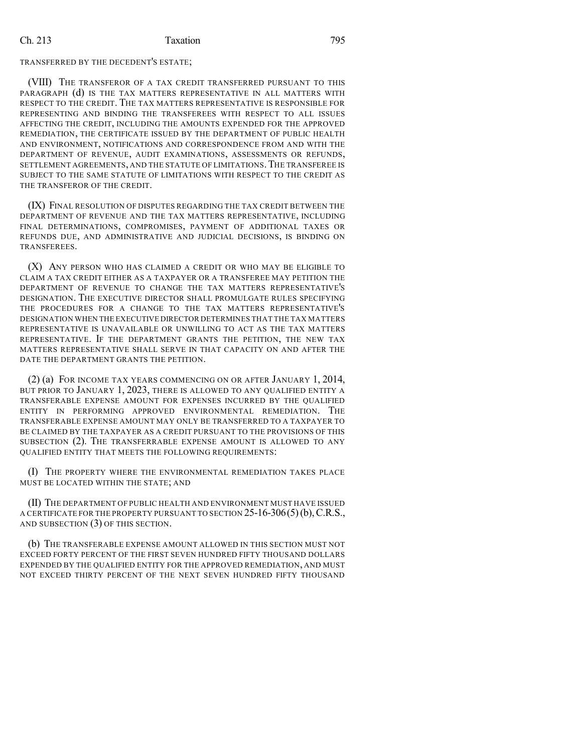### Ch. 213 Taxation 795

#### TRANSFERRED BY THE DECEDENT'S ESTATE;

(VIII) THE TRANSFEROR OF A TAX CREDIT TRANSFERRED PURSUANT TO THIS PARAGRAPH (d) IS THE TAX MATTERS REPRESENTATIVE IN ALL MATTERS WITH RESPECT TO THE CREDIT. THE TAX MATTERS REPRESENTATIVE IS RESPONSIBLE FOR REPRESENTING AND BINDING THE TRANSFEREES WITH RESPECT TO ALL ISSUES AFFECTING THE CREDIT, INCLUDING THE AMOUNTS EXPENDED FOR THE APPROVED REMEDIATION, THE CERTIFICATE ISSUED BY THE DEPARTMENT OF PUBLIC HEALTH AND ENVIRONMENT, NOTIFICATIONS AND CORRESPONDENCE FROM AND WITH THE DEPARTMENT OF REVENUE, AUDIT EXAMINATIONS, ASSESSMENTS OR REFUNDS, SETTLEMENT AGREEMENTS, AND THE STATUTE OF LIMITATIONS. THE TRANSFEREE IS SUBJECT TO THE SAME STATUTE OF LIMITATIONS WITH RESPECT TO THE CREDIT AS THE TRANSFEROR OF THE CREDIT.

(IX) FINAL RESOLUTION OF DISPUTES REGARDING THE TAX CREDIT BETWEEN THE DEPARTMENT OF REVENUE AND THE TAX MATTERS REPRESENTATIVE, INCLUDING FINAL DETERMINATIONS, COMPROMISES, PAYMENT OF ADDITIONAL TAXES OR REFUNDS DUE, AND ADMINISTRATIVE AND JUDICIAL DECISIONS, IS BINDING ON TRANSFEREES.

(X) ANY PERSON WHO HAS CLAIMED A CREDIT OR WHO MAY BE ELIGIBLE TO CLAIM A TAX CREDIT EITHER AS A TAXPAYER OR A TRANSFEREE MAY PETITION THE DEPARTMENT OF REVENUE TO CHANGE THE TAX MATTERS REPRESENTATIVE'S DESIGNATION. THE EXECUTIVE DIRECTOR SHALL PROMULGATE RULES SPECIFYING THE PROCEDURES FOR A CHANGE TO THE TAX MATTERS REPRESENTATIVE'S DESIGNATION WHEN THE EXECUTIVE DIRECTOR DETERMINES THAT THE TAX MATTERS REPRESENTATIVE IS UNAVAILABLE OR UNWILLING TO ACT AS THE TAX MATTERS REPRESENTATIVE. IF THE DEPARTMENT GRANTS THE PETITION, THE NEW TAX MATTERS REPRESENTATIVE SHALL SERVE IN THAT CAPACITY ON AND AFTER THE DATE THE DEPARTMENT GRANTS THE PETITION.

(2) (a) FOR INCOME TAX YEARS COMMENCING ON OR AFTER JANUARY 1, 2014, BUT PRIOR TO JANUARY 1, 2023, THERE IS ALLOWED TO ANY QUALIFIED ENTITY A TRANSFERABLE EXPENSE AMOUNT FOR EXPENSES INCURRED BY THE QUALIFIED ENTITY IN PERFORMING APPROVED ENVIRONMENTAL REMEDIATION. THE TRANSFERABLE EXPENSE AMOUNT MAY ONLY BE TRANSFERRED TO A TAXPAYER TO BE CLAIMED BY THE TAXPAYER AS A CREDIT PURSUANT TO THE PROVISIONS OF THIS SUBSECTION (2). THE TRANSFERRABLE EXPENSE AMOUNT IS ALLOWED TO ANY QUALIFIED ENTITY THAT MEETS THE FOLLOWING REQUIREMENTS:

(I) THE PROPERTY WHERE THE ENVIRONMENTAL REMEDIATION TAKES PLACE MUST BE LOCATED WITHIN THE STATE; AND

(II) THE DEPARTMENT OF PUBLIC HEALTH AND ENVIRONMENT MUST HAVE ISSUED A CERTIFICATE FOR THE PROPERTY PURSUANT TO SECTION  $25$ -16-306(5)(b), C.R.S., AND SUBSECTION (3) OF THIS SECTION.

(b) THE TRANSFERABLE EXPENSE AMOUNT ALLOWED IN THIS SECTION MUST NOT EXCEED FORTY PERCENT OF THE FIRST SEVEN HUNDRED FIFTY THOUSAND DOLLARS EXPENDED BY THE QUALIFIED ENTITY FOR THE APPROVED REMEDIATION, AND MUST NOT EXCEED THIRTY PERCENT OF THE NEXT SEVEN HUNDRED FIFTY THOUSAND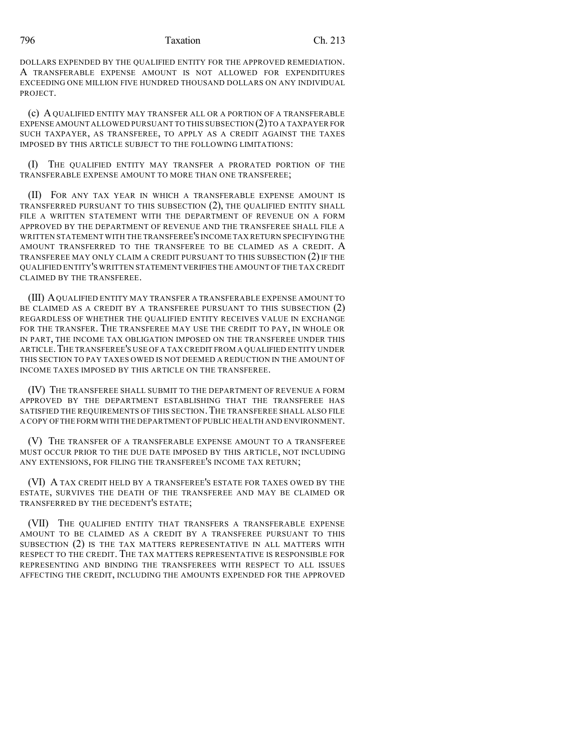796 Taxation Ch. 213

DOLLARS EXPENDED BY THE QUALIFIED ENTITY FOR THE APPROVED REMEDIATION. A TRANSFERABLE EXPENSE AMOUNT IS NOT ALLOWED FOR EXPENDITURES EXCEEDING ONE MILLION FIVE HUNDRED THOUSAND DOLLARS ON ANY INDIVIDUAL PROJECT.

(c) A QUALIFIED ENTITY MAY TRANSFER ALL OR A PORTION OF A TRANSFERABLE EXPENSE AMOUNT ALLOWED PURSUANT TO THIS SUBSECTION (2) TO A TAXPAYER FOR SUCH TAXPAYER, AS TRANSFEREE, TO APPLY AS A CREDIT AGAINST THE TAXES IMPOSED BY THIS ARTICLE SUBJECT TO THE FOLLOWING LIMITATIONS:

(I) THE QUALIFIED ENTITY MAY TRANSFER A PRORATED PORTION OF THE TRANSFERABLE EXPENSE AMOUNT TO MORE THAN ONE TRANSFEREE;

(II) FOR ANY TAX YEAR IN WHICH A TRANSFERABLE EXPENSE AMOUNT IS TRANSFERRED PURSUANT TO THIS SUBSECTION (2), THE QUALIFIED ENTITY SHALL FILE A WRITTEN STATEMENT WITH THE DEPARTMENT OF REVENUE ON A FORM APPROVED BY THE DEPARTMENT OF REVENUE AND THE TRANSFEREE SHALL FILE A WRITTEN STATEMENT WITH THE TRANSFEREE'S INCOME TAX RETURN SPECIFYING THE AMOUNT TRANSFERRED TO THE TRANSFEREE TO BE CLAIMED AS A CREDIT. A TRANSFEREE MAY ONLY CLAIM A CREDIT PURSUANT TO THIS SUBSECTION  $(2)$  IF THE QUALIFIED ENTITY'S WRITTEN STATEMENT VERIFIES THE AMOUNT OF THE TAX CREDIT CLAIMED BY THE TRANSFEREE.

(III) AQUALIFIED ENTITY MAY TRANSFER A TRANSFERABLE EXPENSE AMOUNT TO BE CLAIMED AS A CREDIT BY A TRANSFEREE PURSUANT TO THIS SUBSECTION (2) REGARDLESS OF WHETHER THE QUALIFIED ENTITY RECEIVES VALUE IN EXCHANGE FOR THE TRANSFER. THE TRANSFEREE MAY USE THE CREDIT TO PAY, IN WHOLE OR IN PART, THE INCOME TAX OBLIGATION IMPOSED ON THE TRANSFEREE UNDER THIS ARTICLE.THE TRANSFEREE'S USE OFA TAX CREDIT FROM A QUALIFIED ENTITY UNDER THIS SECTION TO PAY TAXES OWED IS NOT DEEMED A REDUCTION IN THE AMOUNT OF INCOME TAXES IMPOSED BY THIS ARTICLE ON THE TRANSFEREE.

(IV) THE TRANSFEREE SHALL SUBMIT TO THE DEPARTMENT OF REVENUE A FORM APPROVED BY THE DEPARTMENT ESTABLISHING THAT THE TRANSFEREE HAS SATISFIED THE REQUIREMENTS OF THIS SECTION. THE TRANSFEREE SHALL ALSO FILE A COPY OFTHE FORM WITH THE DEPARTMENT OF PUBLIC HEALTH AND ENVIRONMENT.

(V) THE TRANSFER OF A TRANSFERABLE EXPENSE AMOUNT TO A TRANSFEREE MUST OCCUR PRIOR TO THE DUE DATE IMPOSED BY THIS ARTICLE, NOT INCLUDING ANY EXTENSIONS, FOR FILING THE TRANSFEREE'S INCOME TAX RETURN;

(VI) A TAX CREDIT HELD BY A TRANSFEREE'S ESTATE FOR TAXES OWED BY THE ESTATE, SURVIVES THE DEATH OF THE TRANSFEREE AND MAY BE CLAIMED OR TRANSFERRED BY THE DECEDENT'S ESTATE;

(VII) THE QUALIFIED ENTITY THAT TRANSFERS A TRANSFERABLE EXPENSE AMOUNT TO BE CLAIMED AS A CREDIT BY A TRANSFEREE PURSUANT TO THIS SUBSECTION (2) IS THE TAX MATTERS REPRESENTATIVE IN ALL MATTERS WITH RESPECT TO THE CREDIT. THE TAX MATTERS REPRESENTATIVE IS RESPONSIBLE FOR REPRESENTING AND BINDING THE TRANSFEREES WITH RESPECT TO ALL ISSUES AFFECTING THE CREDIT, INCLUDING THE AMOUNTS EXPENDED FOR THE APPROVED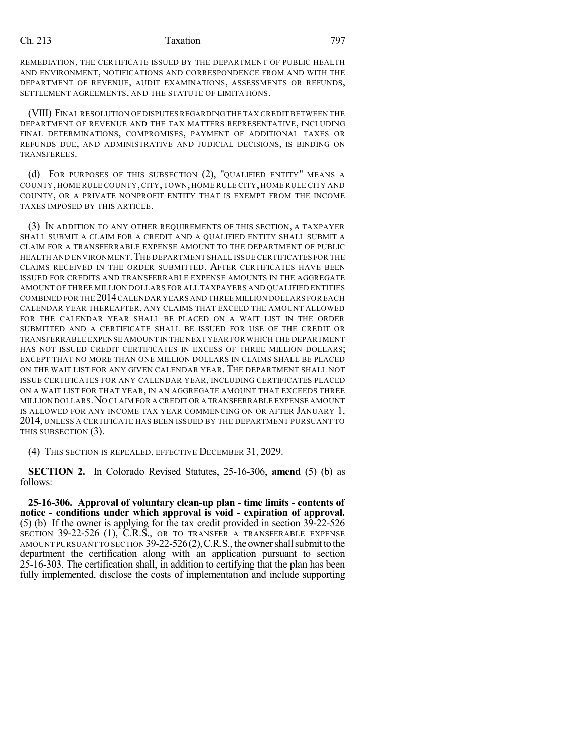### Ch. 213 Taxation 797

REMEDIATION, THE CERTIFICATE ISSUED BY THE DEPARTMENT OF PUBLIC HEALTH AND ENVIRONMENT, NOTIFICATIONS AND CORRESPONDENCE FROM AND WITH THE DEPARTMENT OF REVENUE, AUDIT EXAMINATIONS, ASSESSMENTS OR REFUNDS, SETTLEMENT AGREEMENTS, AND THE STATUTE OF LIMITATIONS.

(VIII) FINAL RESOLUTION OFDISPUTESREGARDING THE TAX CREDIT BETWEEN THE DEPARTMENT OF REVENUE AND THE TAX MATTERS REPRESENTATIVE, INCLUDING FINAL DETERMINATIONS, COMPROMISES, PAYMENT OF ADDITIONAL TAXES OR REFUNDS DUE, AND ADMINISTRATIVE AND JUDICIAL DECISIONS, IS BINDING ON TRANSFEREES.

(d) FOR PURPOSES OF THIS SUBSECTION (2), "QUALIFIED ENTITY" MEANS A COUNTY, HOME RULE COUNTY, CITY, TOWN, HOME RULE CITY, HOME RULE CITY AND COUNTY, OR A PRIVATE NONPROFIT ENTITY THAT IS EXEMPT FROM THE INCOME TAXES IMPOSED BY THIS ARTICLE.

(3) IN ADDITION TO ANY OTHER REQUIREMENTS OF THIS SECTION, A TAXPAYER SHALL SUBMIT A CLAIM FOR A CREDIT AND A QUALIFIED ENTITY SHALL SUBMIT A CLAIM FOR A TRANSFERRABLE EXPENSE AMOUNT TO THE DEPARTMENT OF PUBLIC HEALTH AND ENVIRONMENT. THE DEPARTMENT SHALL ISSUE CERTIFICATES FOR THE CLAIMS RECEIVED IN THE ORDER SUBMITTED. AFTER CERTIFICATES HAVE BEEN ISSUED FOR CREDITS AND TRANSFERRABLE EXPENSE AMOUNTS IN THE AGGREGATE AMOUNT OF THREE MILLION DOLLARS FOR ALL TAXPAYERS AND QUALIFIED ENTITIES COMBINED FOR THE 2014CALENDAR YEARS AND THREE MILLION DOLLARS FOR EACH CALENDAR YEAR THEREAFTER, ANY CLAIMS THAT EXCEED THE AMOUNT ALLOWED FOR THE CALENDAR YEAR SHALL BE PLACED ON A WAIT LIST IN THE ORDER SUBMITTED AND A CERTIFICATE SHALL BE ISSUED FOR USE OF THE CREDIT OR TRANSFERRABLE EXPENSE AMOUNT IN THE NEXT YEAR FOR WHICH THE DEPARTMENT HAS NOT ISSUED CREDIT CERTIFICATES IN EXCESS OF THREE MILLION DOLLARS; EXCEPT THAT NO MORE THAN ONE MILLION DOLLARS IN CLAIMS SHALL BE PLACED ON THE WAIT LIST FOR ANY GIVEN CALENDAR YEAR. THE DEPARTMENT SHALL NOT ISSUE CERTIFICATES FOR ANY CALENDAR YEAR, INCLUDING CERTIFICATES PLACED ON A WAIT LIST FOR THAT YEAR, IN AN AGGREGATE AMOUNT THAT EXCEEDS THREE MILLION DOLLARS.NO CLAIM FOR A CREDIT OR A TRANSFERRABLE EXPENSE AMOUNT IS ALLOWED FOR ANY INCOME TAX YEAR COMMENCING ON OR AFTER JANUARY 1, 2014, UNLESS A CERTIFICATE HAS BEEN ISSUED BY THE DEPARTMENT PURSUANT TO THIS SUBSECTION (3).

(4) THIS SECTION IS REPEALED, EFFECTIVE DECEMBER 31, 2029.

**SECTION 2.** In Colorado Revised Statutes, 25-16-306, **amend** (5) (b) as follows:

**25-16-306. Approval of voluntary clean-up plan - time limits - contents of notice - conditions under which approval is void - expiration of approval.** (5) (b) If the owner is applying for the tax credit provided in section 39-22-526 SECTION 39-22-526 (1), C.R.S., OR TO TRANSFER A TRANSFERABLE EXPENSE AMOUNT PURSUANT TO SECTION 39-22-526(2), C.R.S., the owner shall submit to the department the certification along with an application pursuant to section 25-16-303. The certification shall, in addition to certifying that the plan has been fully implemented, disclose the costs of implementation and include supporting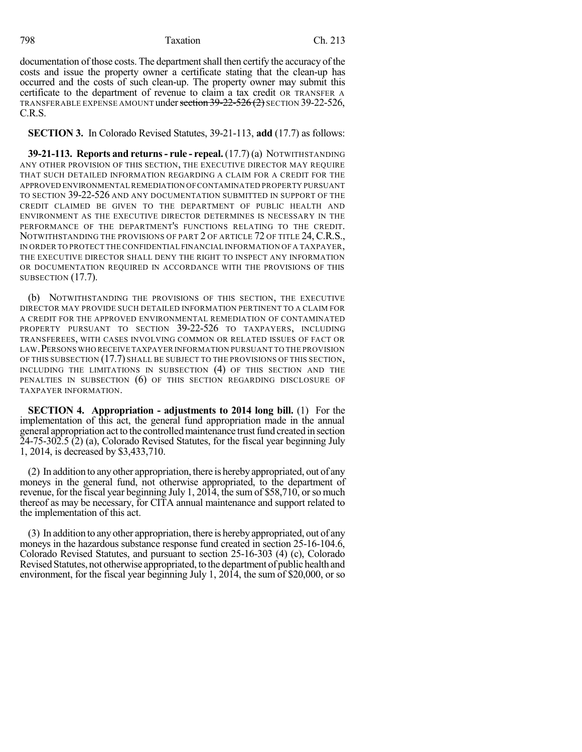798 Taxation Ch. 213

documentation of those costs. The department shall then certify the accuracy of the costs and issue the property owner a certificate stating that the clean-up has occurred and the costs of such clean-up. The property owner may submit this certificate to the department of revenue to claim a tax credit OR TRANSFER A TRANSFERABLE EXPENSE AMOUNT under section 39-22-526 (2) SECTION 39-22-526, C.R.S.

**SECTION 3.** In Colorado Revised Statutes, 39-21-113, **add** (17.7) as follows:

**39-21-113. Reports and returns- rule - repeal.** (17.7) (a) NOTWITHSTANDING ANY OTHER PROVISION OF THIS SECTION, THE EXECUTIVE DIRECTOR MAY REQUIRE THAT SUCH DETAILED INFORMATION REGARDING A CLAIM FOR A CREDIT FOR THE APPROVED ENVIRONMENTAL REMEDIATION OFCONTAMINATED PROPERTY PURSUANT TO SECTION 39-22-526 AND ANY DOCUMENTATION SUBMITTED IN SUPPORT OF THE CREDIT CLAIMED BE GIVEN TO THE DEPARTMENT OF PUBLIC HEALTH AND ENVIRONMENT AS THE EXECUTIVE DIRECTOR DETERMINES IS NECESSARY IN THE PERFORMANCE OF THE DEPARTMENT'S FUNCTIONS RELATING TO THE CREDIT. NOTWITHSTANDING THE PROVISIONS OF PART 2 OF ARTICLE 72 OF TITLE 24, C.R.S., IN ORDER TO PROTECT THE CONFIDENTIAL FINANCIAL INFORMATION OF A TAXPAYER, THE EXECUTIVE DIRECTOR SHALL DENY THE RIGHT TO INSPECT ANY INFORMATION OR DOCUMENTATION REQUIRED IN ACCORDANCE WITH THE PROVISIONS OF THIS SUBSECTION  $(17.7)$ .

(b) NOTWITHSTANDING THE PROVISIONS OF THIS SECTION, THE EXECUTIVE DIRECTOR MAY PROVIDE SUCH DETAILED INFORMATION PERTINENT TO A CLAIM FOR A CREDIT FOR THE APPROVED ENVIRONMENTAL REMEDIATION OF CONTAMINATED PROPERTY PURSUANT TO SECTION 39-22-526 TO TAXPAYERS, INCLUDING TRANSFEREES, WITH CASES INVOLVING COMMON OR RELATED ISSUES OF FACT OR LAW.PERSONS WHO RECEIVE TAXPAYER INFORMATION PURSUANT TO THE PROVISION OF THIS SUBSECTION (17.7) SHALL BE SUBJECT TO THE PROVISIONS OF THIS SECTION, INCLUDING THE LIMITATIONS IN SUBSECTION (4) OF THIS SECTION AND THE PENALTIES IN SUBSECTION (6) OF THIS SECTION REGARDING DISCLOSURE OF TAXPAYER INFORMATION.

**SECTION 4. Appropriation - adjustments to 2014 long bill.** (1) For the implementation of this act, the general fund appropriation made in the annual general appropriation act to the controlled maintenance trust fund created in section  $24-75-302.5$  (2) (a), Colorado Revised Statutes, for the fiscal year beginning July 1, 2014, is decreased by \$3,433,710.

(2) In addition to anyother appropriation, there is herebyappropriated, out of any moneys in the general fund, not otherwise appropriated, to the department of revenue, for the fiscal year beginning July 1, 2014, the sum of \$58,710, or so much thereof as may be necessary, for CITA annual maintenance and support related to the implementation of this act.

(3) In addition to anyother appropriation, there is herebyappropriated, out of any moneys in the hazardous substance response fund created in section 25-16-104.6, Colorado Revised Statutes, and pursuant to section 25-16-303 (4) (c), Colorado Revised Statutes, not otherwise appropriated, to the department of public health and environment, for the fiscal year beginning July 1, 2014, the sum of \$20,000, or so